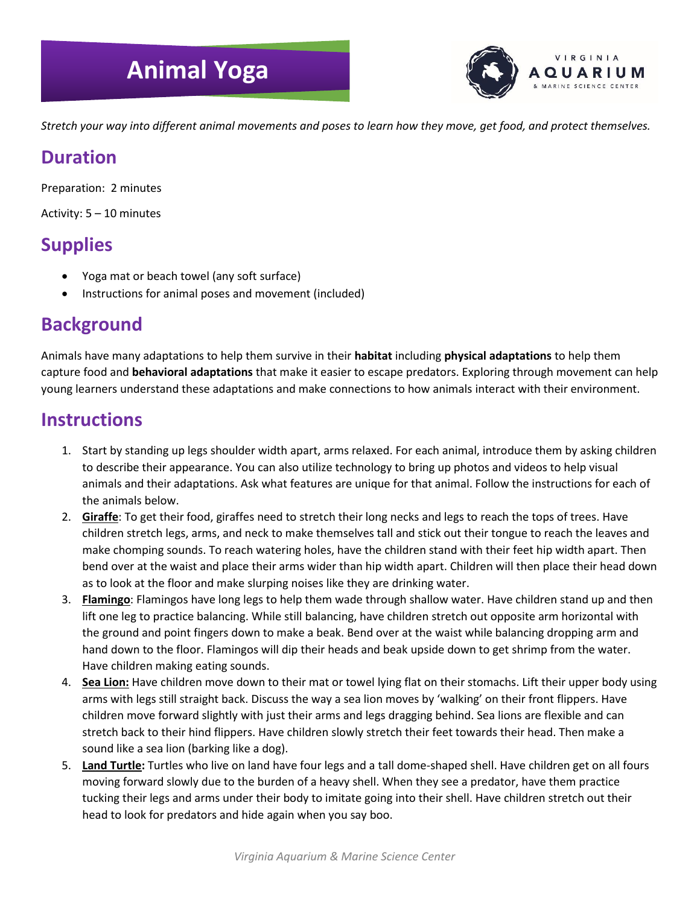# **Animal Yoga**



*Stretch your way into different animal movements and poses to learn how they move, get food, and protect themselves.* 

#### **Duration**

Preparation: 2 minutes

Activity: 5 – 10 minutes

## **Supplies**

- Yoga mat or beach towel (any soft surface)
- Instructions for animal poses and movement (included)

### **Background**

Animals have many adaptations to help them survive in their **habitat** including **physical adaptations** to help them capture food and **behavioral adaptations** that make it easier to escape predators. Exploring through movement can help young learners understand these adaptations and make connections to how animals interact with their environment.

#### **Instructions**

- 1. Start by standing up legs shoulder width apart, arms relaxed. For each animal, introduce them by asking children to describe their appearance. You can also utilize technology to bring up photos and videos to help visual animals and their adaptations. Ask what features are unique for that animal. Follow the instructions for each of the animals below.
- 2. **Giraffe**: To get their food, giraffes need to stretch their long necks and legs to reach the tops of trees. Have children stretch legs, arms, and neck to make themselves tall and stick out their tongue to reach the leaves and make chomping sounds. To reach watering holes, have the children stand with their feet hip width apart. Then bend over at the waist and place their arms wider than hip width apart. Children will then place their head down as to look at the floor and make slurping noises like they are drinking water.
- 3. **Flamingo**: Flamingos have long legs to help them wade through shallow water. Have children stand up and then lift one leg to practice balancing. While still balancing, have children stretch out opposite arm horizontal with the ground and point fingers down to make a beak. Bend over at the waist while balancing dropping arm and hand down to the floor. Flamingos will dip their heads and beak upside down to get shrimp from the water. Have children making eating sounds.
- 4. **Sea Lion:** Have children move down to their mat or towel lying flat on their stomachs. Lift their upper body using arms with legs still straight back. Discuss the way a sea lion moves by 'walking' on their front flippers. Have children move forward slightly with just their arms and legs dragging behind. Sea lions are flexible and can stretch back to their hind flippers. Have children slowly stretch their feet towards their head. Then make a sound like a sea lion (barking like a dog).
- 5. **Land Turtle:** Turtles who live on land have four legs and a tall dome-shaped shell. Have children get on all fours moving forward slowly due to the burden of a heavy shell. When they see a predator, have them practice tucking their legs and arms under their body to imitate going into their shell. Have children stretch out their head to look for predators and hide again when you say boo.